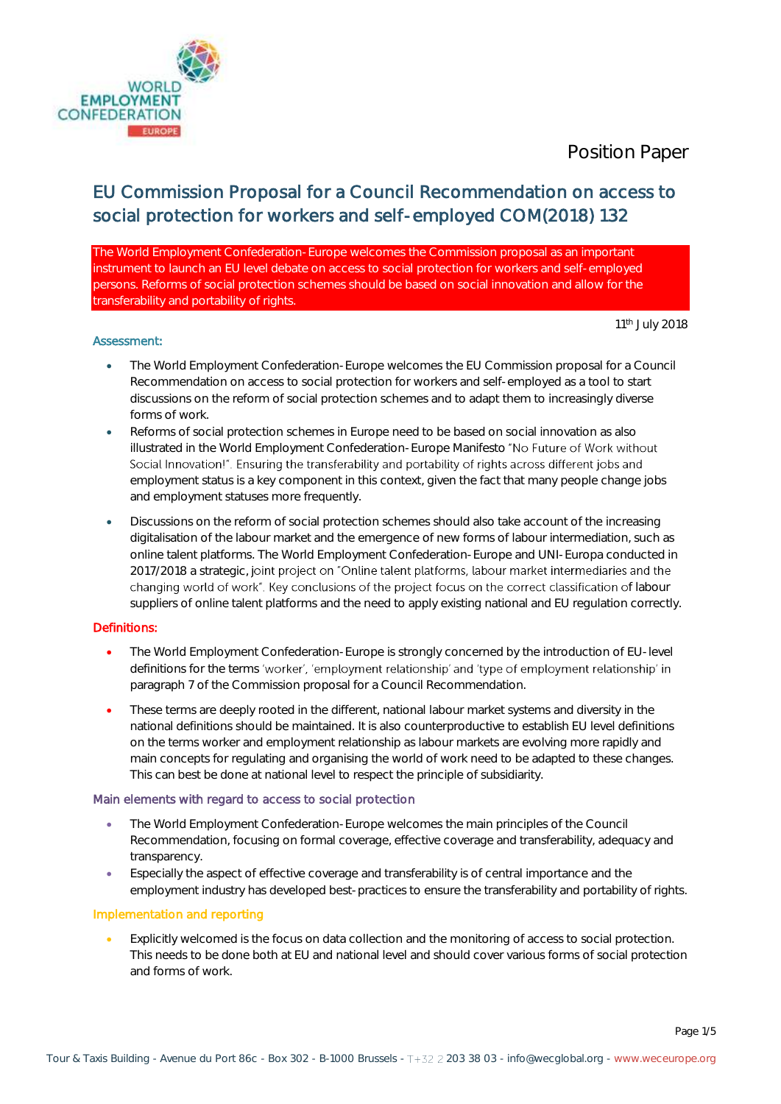

# EU Commission Proposal for a Council Recommendation on access to social protection for workers and self-employed COM(2018) 132

The World Employment Confederation-Europe welcomes the Commission proposal as an important instrument to launch an EU level debate on access to social protection for workers and self-employed persons. Reforms of social protection schemes should be based on social innovation and allow for the transferability and portability of rights.

#### Assessment:

11<sup>th</sup> July 2018

- The World Employment Confederation-Europe welcomes the EU Commission proposal for a Council Recommendation on access to social protection for workers and self-employed as a tool to start discussions on the reform of social protection schemes and to adapt them to increasingly diverse forms of work.
- Reforms of social protection schemes in Europe need to be based on social innovation as also illustrated in the World Employment Confederation-Europe Manifesto "No Future of Work without Social Innovation!". Ensuring the transferability and portability of rights across different jobs and employment status is a key component in this context, given the fact that many people change jobs and employment statuses more frequently.
- Discussions on the reform of social protection schemes should also take account of the increasing digitalisation of the labour market and the emergence of new forms of labour intermediation, such as online talent platforms. The World Employment Confederation-Europe and UNI-Europa conducted in 2017/2018 a strategic, joint project on "Online talent platforms, labour market intermediaries and the changing world of work". Key conclusions of the project focus on the correct classification of labour suppliers of online talent platforms and the need to apply existing national and EU regulation correctly.

### Definitions:

- The World Employment Confederation-Europe is strongly concerned by the introduction of EU-level definitions for the terms 'worker', 'employment relationship' and 'type of employment relationship' in paragraph 7 of the Commission proposal for a Council Recommendation.
- These terms are deeply rooted in the different, national labour market systems and diversity in the national definitions should be maintained. It is also counterproductive to establish EU level definitions on the terms worker and employment relationship as labour markets are evolving more rapidly and main concepts for regulating and organising the world of work need to be adapted to these changes. This can best be done at national level to respect the principle of subsidiarity.

### Main elements with regard to access to social protection

- The World Employment Confederation-Europe welcomes the main principles of the Council Recommendation, focusing on formal coverage, effective coverage and transferability, adequacy and transparency.
- Especially the aspect of effective coverage and transferability is of central importance and the employment industry has developed best-practices to ensure the transferability and portability of rights.

### Implementation and reporting

 Explicitly welcomed is the focus on data collection and the monitoring of access to social protection. This needs to be done both at EU and national level and should cover various forms of social protection and forms of work.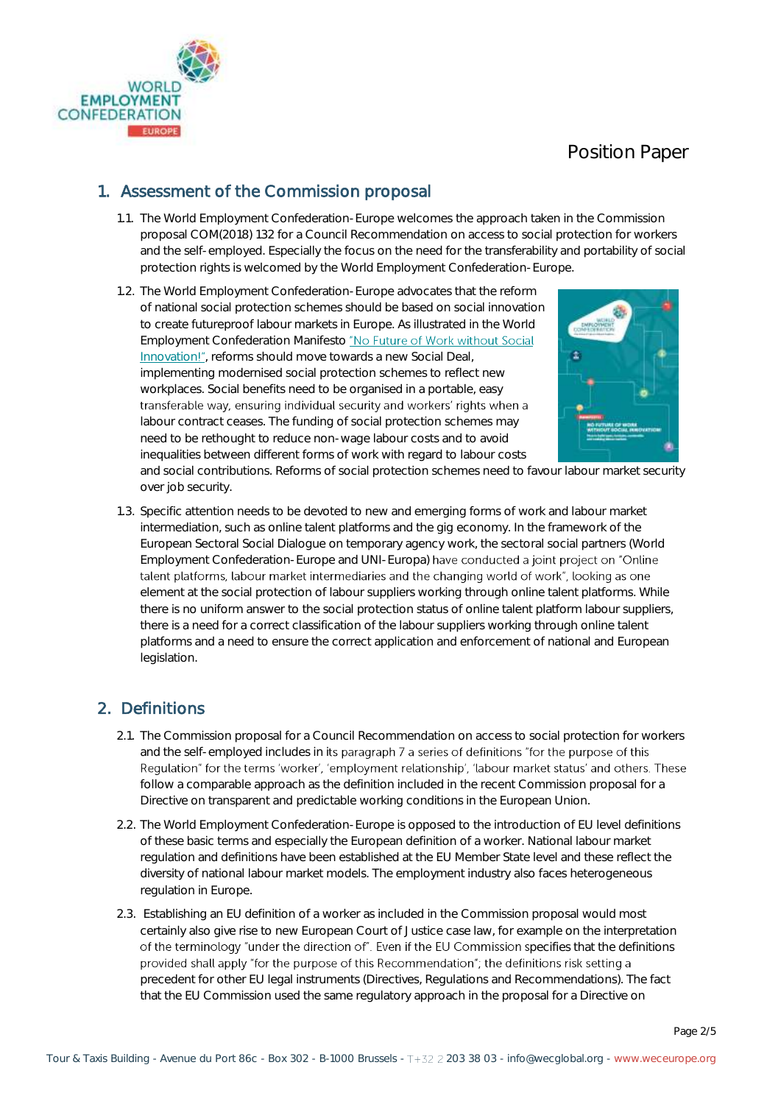

### 1. Assessment of the Commission proposal

- 1.1. The World Employment Confederation-Europe welcomes the approach taken in the Commission proposal COM(2018) 132 for a Council Recommendation on access to social protection for workers and the self-employed. Especially the focus on the need for the transferability and portability of social protection rights is welcomed by the World Employment Confederation-Europe.
- 1.2. The World Employment Confederation-Europe advocates that the reform of national social protection schemes should be based on social innovation to create futureproof labour markets in Europe. As illustrated in the World EmploymentConfederation Manifesto "No Future of Work without Social [Innovation](http://www.weceurope.org/fileadmin/templates/eurociett/docs/position_papers/2017_Employment_Policies/WEC_Manifesto_2017.pdf)!", reforms should move towards a new Social Deal, implementing modernised social protection schemes to reflect new workplaces. Social benefits need to be organised in a portable, easy transferable way, ensuring individual security and workers' rights when a labour contract ceases. The funding of social protection schemes may need to be rethought to reduce non-wage labour costs and to avoid inequalities between different forms of work with regard to labour costs



and social contributions. Reforms of social protection schemes need to favour labour market security over job security.

1.3. Specific attention needs to be devoted to new and emerging forms of work and labour market intermediation, such as online talent platforms and the gig economy. In the framework of the European Sectoral Social Dialogue on temporary agency work, the sectoral social partners (World Employment Confederation-Europe and UNI-Europa) have conducted a joint project on "Online talent platforms, labour market intermediaries and the changing world of work", looking as one element at the social protection of labour suppliers working through online talent platforms. While there is no uniform answer to the social protection status of online talent platform labour suppliers, there is a need for a correct classification of the labour suppliers working through online talent platforms and a need to ensure the correct application and enforcement of national and European legislation.

### 2. Definitions

- 2.1. The Commission proposal for a Council Recommendation on access to social protection for workers and the self-employed includes in its paragraph 7 a series of definitions "for the purpose of this Regulation" for the terms 'worker', 'employment relationship', 'labour market status' and others. These follow a comparable approach as the definition included in the recent Commission proposal for a Directive on transparent and predictable working conditions in the European Union.
- 2.2. The World Employment Confederation-Europe is opposed to the introduction of EU level definitions of these basic terms and especially the European definition of a worker. National labour market regulation and definitions have been established at the EU Member State level and these reflect the diversity of national labour market models. The employment industry also faces heterogeneous regulation in Europe.
- 2.3. Establishing an EU definition of a worker as included in the Commission proposal would most certainly also give rise to new European Court of Justice case law, for example on the interpretation of the terminology "under the direction of". Even if the EU Commission specifies that the definitions provided shall apply "for the purpose of this Recommendation"; the definitions risk setting a precedent for other EU legal instruments (Directives, Regulations and Recommendations). The fact that the EU Commission used the same regulatory approach in the proposal for a Directive on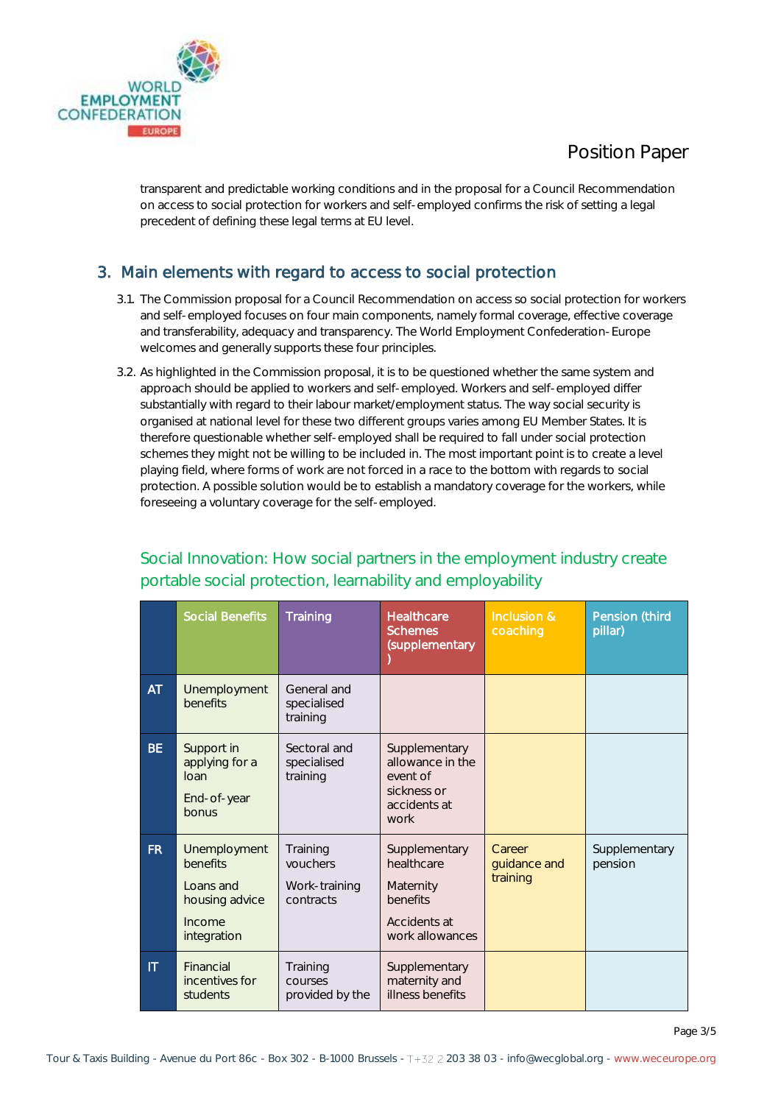



transparent and predictable working conditions and in the proposal for a Council Recommendation on access to social protection for workers and self-employed confirms the risk of setting a legal precedent of defining these legal terms at EU level.

## 3. Main elements with regard to access to social protection

- 3.1. The Commission proposal for a Council Recommendation on access so social protection for workers and self-employed focuses on four main components, namely formal coverage, effective coverage and transferability, adequacy and transparency. The World Employment Confederation-Europe welcomes and generally supports these four principles.
- 3.2. As highlighted in the Commission proposal, it is to be questioned whether the same system and approach should be applied to workers and self-employed. Workers and self-employed differ substantially with regard to their labour market/employment status. The way social security is organised at national level for these two different groups varies among EU Member States. It is therefore questionable whether self-employed shall be required to fall under social protection schemes they might not be willing to be included in. The most important point is to create a level playing field, where forms of work are not forced in a race to the bottom with regards to social protection. A possible solution would be to establish a mandatory coverage for the workers, while foreseeing a voluntary coverage for the self-employed.

|                        | <b>Social Benefits</b>                                                                  | Training                                           | <b>Healthcare</b><br><b>Schemes</b><br>(supplementary                                   | Inclusion &<br>coaching            | Pension (third<br>pillar) |
|------------------------|-----------------------------------------------------------------------------------------|----------------------------------------------------|-----------------------------------------------------------------------------------------|------------------------------------|---------------------------|
| <b>AT</b>              | Unemployment<br>benefits                                                                | General and<br>specialised<br>training             |                                                                                         |                                    |                           |
| <b>BE</b>              | Support in<br>applying for a<br>loan<br>End-of-year<br>bonus                            | Sectoral and<br>specialised<br>training            | Supplementary<br>allowance in the<br>event of<br>sickness or<br>accidents at<br>work    |                                    |                           |
| FR.                    | Unemployment<br><b>benefits</b><br>Loans and<br>housing advice<br>Income<br>integration | Training<br>vouchers<br>Work-training<br>contracts | Supplementary<br>healthcare<br>Maternity<br>benefits<br>Accidents at<br>work allowances | Career<br>guidance and<br>training | Supplementary<br>pension  |
| $\mathsf{I}\mathsf{T}$ | Financial<br>incentives for<br>students                                                 | Training<br>courses<br>provided by the             | Supplementary<br>maternity and<br>illness benefits                                      |                                    |                           |

## Social Innovation: How social partners in the employment industry create portable social protection, learnability and employability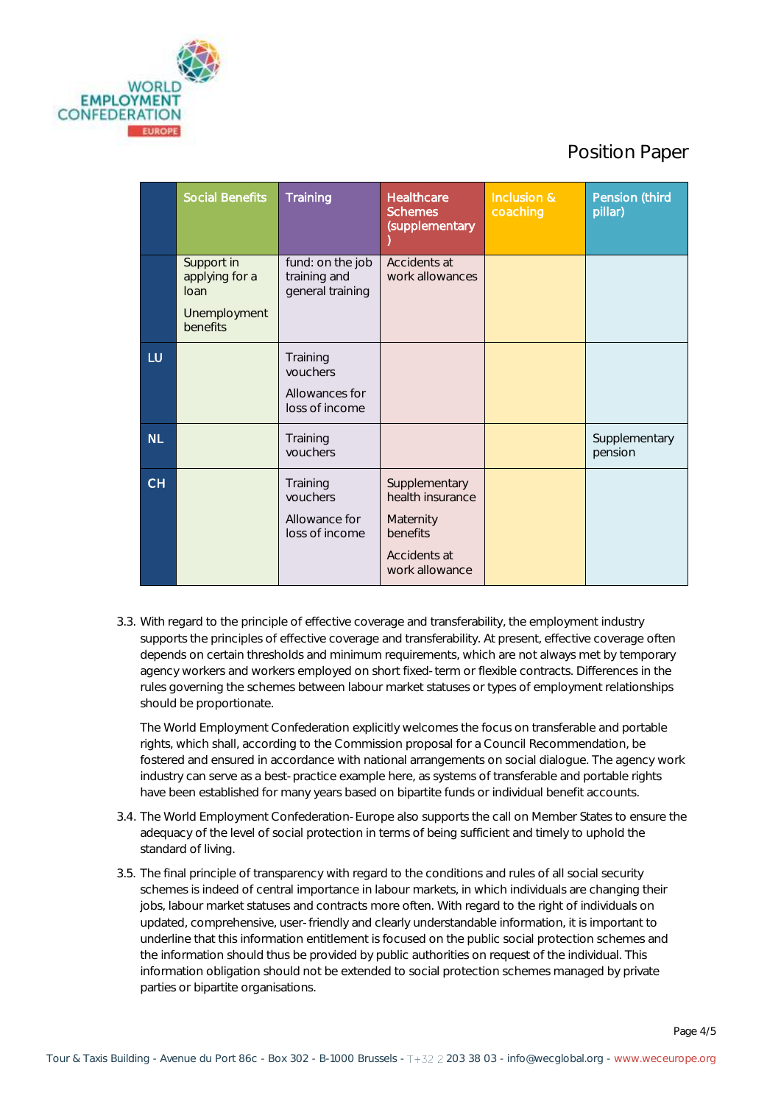

|           | <b>Social Benefits</b>                                           | Training                                                 | <b>Healthcare</b><br><b>Schemes</b><br>(supplementary                                        | Inclusion &<br>coaching | Pension (third<br>pillar) |
|-----------|------------------------------------------------------------------|----------------------------------------------------------|----------------------------------------------------------------------------------------------|-------------------------|---------------------------|
|           | Support in<br>applying for a<br>loan<br>Unemployment<br>benefits | fund: on the job<br>training and<br>general training     | Accidents at<br>work allowances                                                              |                         |                           |
| LU        |                                                                  | Training<br>vouchers<br>Allowances for<br>loss of income |                                                                                              |                         |                           |
| <b>NL</b> |                                                                  | Training<br>vouchers                                     |                                                                                              |                         | Supplementary<br>pension  |
| <b>CH</b> |                                                                  | Training<br>vouchers<br>Allowance for<br>loss of income  | Supplementary<br>health insurance<br>Maternity<br>benefits<br>Accidents at<br>work allowance |                         |                           |

3.3. With regard to the principle of effective coverage and transferability, the employment industry supports the principles of effective coverage and transferability. At present, effective coverage often depends on certain thresholds and minimum requirements, which are not always met by temporary agency workers and workers employed on short fixed-term or flexible contracts. Differences in the rules governing the schemes between labour market statuses or types of employment relationships should be proportionate.

The World Employment Confederation explicitly welcomes the focus on transferable and portable rights, which shall, according to the Commission proposal for a Council Recommendation, be fostered and ensured in accordance with national arrangements on social dialogue. The agency work industry can serve as a best-practice example here, as systems of transferable and portable rights have been established for many years based on bipartite funds or individual benefit accounts.

- 3.4. The World Employment Confederation-Europe also supports the call on Member States to ensure the adequacy of the level of social protection in terms of being sufficient and timely to uphold the standard of living.
- 3.5. The final principle of transparency with regard to the conditions and rules of all social security schemes is indeed of central importance in labour markets, in which individuals are changing their jobs, labour market statuses and contracts more often. With regard to the right of individuals on updated, comprehensive, user-friendly and clearly understandable information, it is important to underline that this information entitlement is focused on the public social protection schemes and the information should thus be provided by public authorities on request of the individual. This information obligation should not be extended to social protection schemes managed by private parties or bipartite organisations.